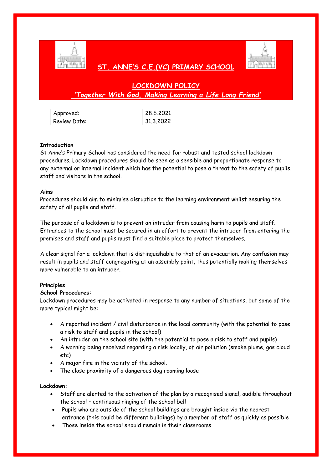

# **ST. ANNE'S C.E.(VC) PRIMARY SCHOOL**



# **LOCKDOWN POLICY** *'Together With God, Making Learning a Life Long Friend'*

| Approved:    | 28.6.2021 |
|--------------|-----------|
| Review Date: | 31.3.2022 |

### **Introduction**

St Anne's Primary School has considered the need for robust and tested school lockdown procedures. Lockdown procedures should be seen as a sensible and proportionate response to any external or internal incident which has the potential to pose a threat to the safety of pupils, staff and visitors in the school.

### **Aims**

Procedures should aim to minimise disruption to the learning environment whilst ensuring the safety of all pupils and staff.

The purpose of a lockdown is to prevent an intruder from causing harm to pupils and staff. Entrances to the school must be secured in an effort to prevent the intruder from entering the premises and staff and pupils must find a suitable place to protect themselves.

A clear signal for a lockdown that is distinguishable to that of an evacuation. Any confusion may result in pupils and staff congregating at an assembly point, thus potentially making themselves more vulnerable to an intruder.

### **Principles**

### **School Procedures:**

Lockdown procedures may be activated in response to any number of situations, but some of the more typical might be:

- A reported incident / civil disturbance in the local community (with the potential to pose a risk to staff and pupils in the school)
- An intruder on the school site (with the potential to pose a risk to staff and pupils)
- A warning being received regarding a risk locally, of air pollution (smoke plume, gas cloud etc)
- A major fire in the vicinity of the school.
- The close proximity of a dangerous dog roaming loose

### **Lockdown:**

- Staff are alerted to the activation of the plan by a recognised signal, audible throughout the school – continuous ringing of the school bell
- Pupils who are outside of the school buildings are brought inside via the nearest entrance (this could be different buildings) by a member of staff as quickly as possible
- Those inside the school should remain in their classrooms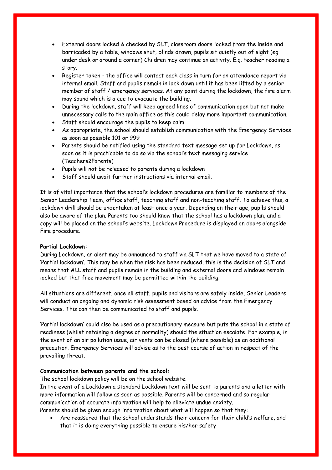- External doors locked & checked by SLT, classroom doors locked from the inside and barricaded by a table, windows shut, blinds drawn, pupils sit quietly out of sight (eg under desk or around a corner) Children may continue an activity. E.g. teacher reading a story.
- Register taken the office will contact each class in turn for an attendance report via internal email. Staff and pupils remain in lock down until it has been lifted by a senior member of staff / emergency services. At any point during the lockdown, the fire alarm may sound which is a cue to evacuate the building.
- During the lockdown, staff will keep agreed lines of communication open but not make unnecessary calls to the main office as this could delay more important communication.
- Staff should encourage the pupils to keep calm
- As appropriate, the school should establish communication with the Emergency Services as soon as possible 101 or 999
- Parents should be notified using the standard text message set up for Lockdown, as soon as it is practicable to do so via the school's text messaging service (Teachers2Parents)
- Pupils will not be released to parents during a lockdown
- Staff should await further instructions via internal email.

It is of vital importance that the school's lockdown procedures are familiar to members of the Senior Leadership Team, office staff, teaching staff and non-teaching staff. To achieve this, a lockdown drill should be undertaken at least once a year. Depending on their age, pupils should also be aware of the plan. Parents too should know that the school has a lockdown plan, and a copy will be placed on the school's website. Lockdown Procedure is displayed on doors alongside Fire procedure.

### **Partial Lockdown:**

During Lockdown, an alert may be announced to staff via SLT that we have moved to a state of 'Partial lockdown'. This may be when the risk has been reduced, this is the decision of SLT and means that ALL staff and pupils remain in the building and external doors and windows remain locked but that free movement may be permitted within the building.

All situations are different, once all staff, pupils and visitors are safely inside, Senior Leaders will conduct an ongoing and dynamic risk assessment based on advice from the Emergency Services. This can then be communicated to staff and pupils.

'Partial lockdown' could also be used as a precautionary measure but puts the school in a state of readiness (whilst retaining a degree of normality) should the situation escalate. For example, in the event of an air pollution issue, air vents can be closed (where possible) as an additional precaution. Emergency Services will advise as to the best course of action in respect of the prevailing threat.

### **Communication between parents and the school:**

The school lockdown policy will be on the school website.

In the event of a Lockdown a standard Lockdown text will be sent to parents and a letter with more information will follow as soon as possible. Parents will be concerned and so regular communication of accurate information will help to alleviate undue anxiety.

Parents should be given enough information about what will happen so that they:

 Are reassured that the school understands their concern for their child's welfare, and that it is doing everything possible to ensure his/her safety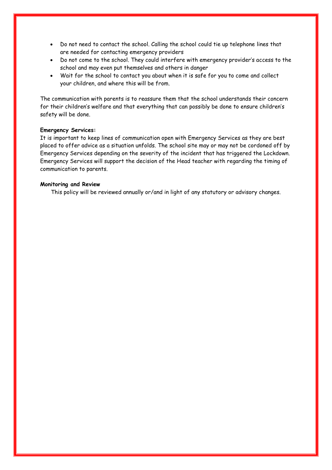- Do not need to contact the school. Calling the school could tie up telephone lines that are needed for contacting emergency providers
- Do not come to the school. They could interfere with emergency provider's access to the school and may even put themselves and others in danger
- Wait for the school to contact you about when it is safe for you to come and collect your children, and where this will be from.

The communication with parents is to reassure them that the school understands their concern for their children's welfare and that everything that can possibly be done to ensure children's safety will be done.

#### **Emergency Services:**

It is important to keep lines of communication open with Emergency Services as they are best placed to offer advice as a situation unfolds. The school site may or may not be cordoned off by Emergency Services depending on the severity of the incident that has triggered the Lockdown. Emergency Services will support the decision of the Head teacher with regarding the timing of communication to parents.

#### **Monitoring and Review**

This policy will be reviewed annually or/and in light of any statutory or advisory changes.